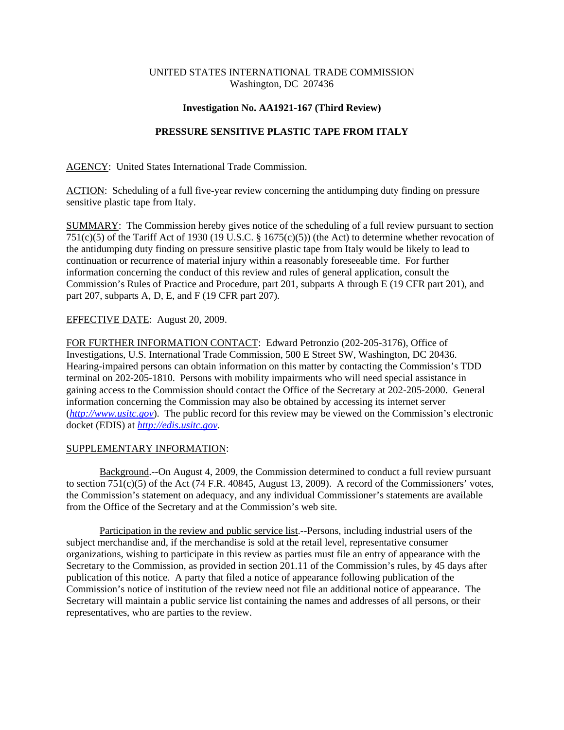## UNITED STATES INTERNATIONAL TRADE COMMISSION Washington, DC 207436

## **Investigation No. AA1921-167 (Third Review)**

# **PRESSURE SENSITIVE PLASTIC TAPE FROM ITALY**

AGENCY: United States International Trade Commission.

ACTION: Scheduling of a full five-year review concerning the antidumping duty finding on pressure sensitive plastic tape from Italy.

SUMMARY: The Commission hereby gives notice of the scheduling of a full review pursuant to section 751(c)(5) of the Tariff Act of 1930 (19 U.S.C. § 1675(c)(5)) (the Act) to determine whether revocation of the antidumping duty finding on pressure sensitive plastic tape from Italy would be likely to lead to continuation or recurrence of material injury within a reasonably foreseeable time. For further information concerning the conduct of this review and rules of general application, consult the Commission's Rules of Practice and Procedure, part 201, subparts A through E (19 CFR part 201), and part 207, subparts A, D, E, and F (19 CFR part 207).

### EFFECTIVE DATE: August 20, 2009.

FOR FURTHER INFORMATION CONTACT: Edward Petronzio (202-205-3176), Office of Investigations, U.S. International Trade Commission, 500 E Street SW, Washington, DC 20436. Hearing-impaired persons can obtain information on this matter by contacting the Commission's TDD terminal on 202-205-1810. Persons with mobility impairments who will need special assistance in gaining access to the Commission should contact the Office of the Secretary at 202-205-2000. General information concerning the Commission may also be obtained by accessing its internet server (*http://www.usitc.gov*). The public record for this review may be viewed on the Commission's electronic docket (EDIS) at *http://edis.usitc.gov*.

#### SUPPLEMENTARY INFORMATION:

Background.--On August 4, 2009, the Commission determined to conduct a full review pursuant to section 751(c)(5) of the Act (74 F.R. 40845, August 13, 2009). A record of the Commissioners' votes, the Commission's statement on adequacy, and any individual Commissioner's statements are available from the Office of the Secretary and at the Commission's web site.

Participation in the review and public service list.--Persons, including industrial users of the subject merchandise and, if the merchandise is sold at the retail level, representative consumer organizations, wishing to participate in this review as parties must file an entry of appearance with the Secretary to the Commission, as provided in section 201.11 of the Commission's rules, by 45 days after publication of this notice. A party that filed a notice of appearance following publication of the Commission's notice of institution of the review need not file an additional notice of appearance. The Secretary will maintain a public service list containing the names and addresses of all persons, or their representatives, who are parties to the review.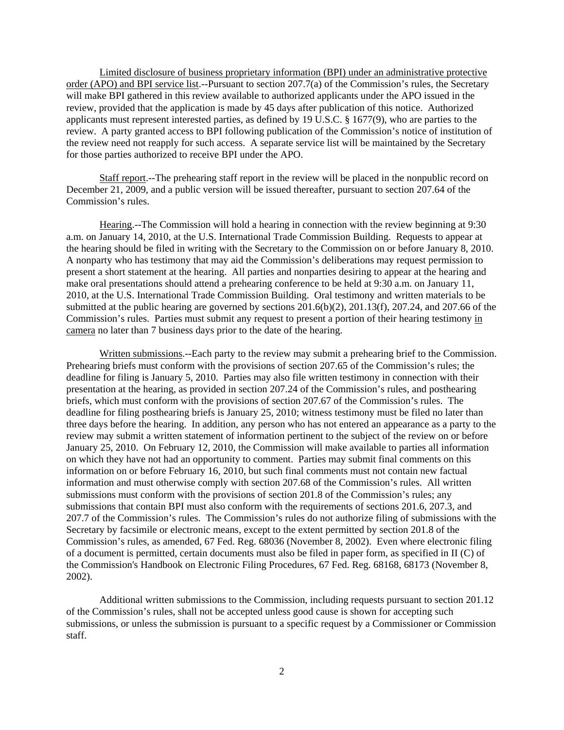Limited disclosure of business proprietary information (BPI) under an administrative protective order (APO) and BPI service list.--Pursuant to section 207.7(a) of the Commission's rules, the Secretary will make BPI gathered in this review available to authorized applicants under the APO issued in the review, provided that the application is made by 45 days after publication of this notice. Authorized applicants must represent interested parties, as defined by 19 U.S.C. § 1677(9), who are parties to the review. A party granted access to BPI following publication of the Commission's notice of institution of the review need not reapply for such access. A separate service list will be maintained by the Secretary for those parties authorized to receive BPI under the APO.

Staff report.--The prehearing staff report in the review will be placed in the nonpublic record on December 21, 2009, and a public version will be issued thereafter, pursuant to section 207.64 of the Commission's rules.

Hearing.--The Commission will hold a hearing in connection with the review beginning at 9:30 a.m. on January 14, 2010, at the U.S. International Trade Commission Building. Requests to appear at the hearing should be filed in writing with the Secretary to the Commission on or before January 8, 2010. A nonparty who has testimony that may aid the Commission's deliberations may request permission to present a short statement at the hearing. All parties and nonparties desiring to appear at the hearing and make oral presentations should attend a prehearing conference to be held at 9:30 a.m. on January 11, 2010, at the U.S. International Trade Commission Building. Oral testimony and written materials to be submitted at the public hearing are governed by sections  $201.6(b)(2)$ ,  $201.13(f)$ ,  $207.24$ , and  $207.66$  of the Commission's rules. Parties must submit any request to present a portion of their hearing testimony in camera no later than 7 business days prior to the date of the hearing.

Written submissions.--Each party to the review may submit a prehearing brief to the Commission. Prehearing briefs must conform with the provisions of section 207.65 of the Commission's rules; the deadline for filing is January 5, 2010. Parties may also file written testimony in connection with their presentation at the hearing, as provided in section 207.24 of the Commission's rules, and posthearing briefs, which must conform with the provisions of section 207.67 of the Commission's rules. The deadline for filing posthearing briefs is January 25, 2010; witness testimony must be filed no later than three days before the hearing. In addition, any person who has not entered an appearance as a party to the review may submit a written statement of information pertinent to the subject of the review on or before January 25, 2010. On February 12, 2010, the Commission will make available to parties all information on which they have not had an opportunity to comment. Parties may submit final comments on this information on or before February 16, 2010, but such final comments must not contain new factual information and must otherwise comply with section 207.68 of the Commission's rules. All written submissions must conform with the provisions of section 201.8 of the Commission's rules; any submissions that contain BPI must also conform with the requirements of sections 201.6, 207.3, and 207.7 of the Commission's rules. The Commission's rules do not authorize filing of submissions with the Secretary by facsimile or electronic means, except to the extent permitted by section 201.8 of the Commission's rules, as amended, 67 Fed. Reg. 68036 (November 8, 2002). Even where electronic filing of a document is permitted, certain documents must also be filed in paper form, as specified in II (C) of the Commission's Handbook on Electronic Filing Procedures, 67 Fed. Reg. 68168, 68173 (November 8, 2002).

Additional written submissions to the Commission, including requests pursuant to section 201.12 of the Commission's rules, shall not be accepted unless good cause is shown for accepting such submissions, or unless the submission is pursuant to a specific request by a Commissioner or Commission staff.